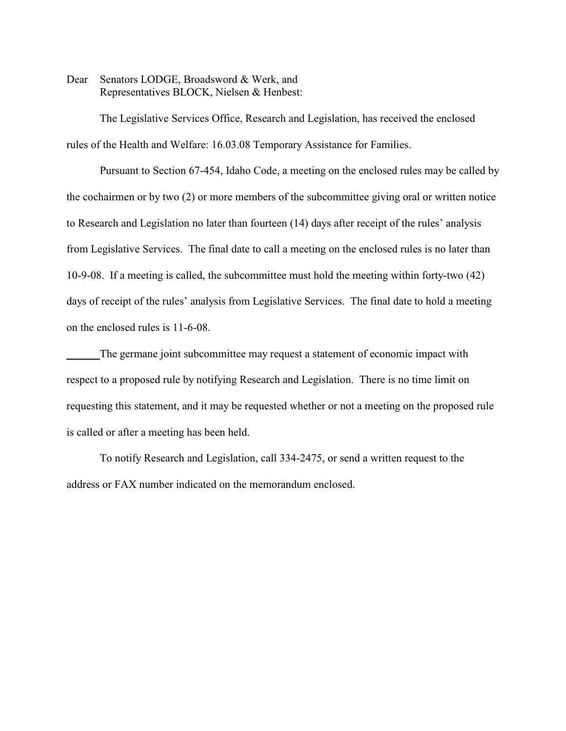Dear Senators LODGE, Broadsword & Werk, and Representatives BLOCK, Nielsen & Henbest:

The Legislative Services Office, Research and Legislation, has received the enclosed rules of the Health and Welfare: 16.03.08 Temporary Assistance for Families.

Pursuant to Section 67-454, Idaho Code, a meeting on the enclosed rules may be called by the cochairmen or by two (2) or more members of the subcommittee giving oral or written notice to Research and Legislation no later than fourteen (14) days after receipt of the rules' analysis from Legislative Services. The final date to call a meeting on the enclosed rules is no later than 10-9-08. If a meeting is called, the subcommittee must hold the meeting within forty-two (42) days of receipt of the rules' analysis from Legislative Services. The final date to hold a meeting on the enclosed rules is 11-6-08.

The germane joint subcommittee may request a statement of economic impact with respect to a proposed rule by notifying Research and Legislation. There is no time limit on requesting this statement, and it may be requested whether or not a meeting on the proposed rule is called or after a meeting has been held.

To notify Research and Legislation, call 334-2475, or send a written request to the address or FAX number indicated on the memorandum enclosed.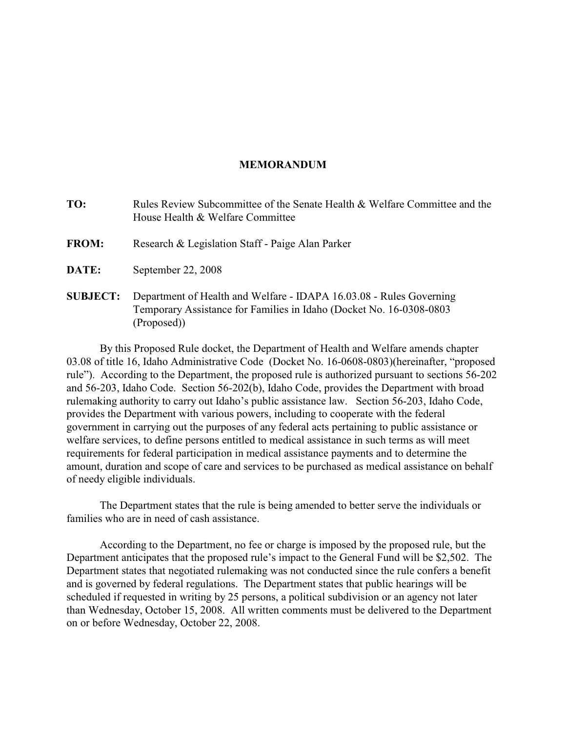#### **MEMORANDUM**

**TO:** Rules Review Subcommittee of the Senate Health & Welfare Committee and the House Health & Welfare Committee

- **FROM:** Research & Legislation Staff Paige Alan Parker
- **DATE:** September 22, 2008
- **SUBJECT:** Department of Health and Welfare IDAPA 16.03.08 Rules Governing Temporary Assistance for Families in Idaho (Docket No. 16-0308-0803 (Proposed))

By this Proposed Rule docket, the Department of Health and Welfare amends chapter 03.08 of title 16, Idaho Administrative Code (Docket No. 16-0608-0803)(hereinafter, "proposed rule"). According to the Department, the proposed rule is authorized pursuant to sections 56-202 and 56-203, Idaho Code. Section 56-202(b), Idaho Code, provides the Department with broad rulemaking authority to carry out Idaho's public assistance law. Section 56-203, Idaho Code, provides the Department with various powers, including to cooperate with the federal government in carrying out the purposes of any federal acts pertaining to public assistance or welfare services, to define persons entitled to medical assistance in such terms as will meet requirements for federal participation in medical assistance payments and to determine the amount, duration and scope of care and services to be purchased as medical assistance on behalf of needy eligible individuals.

The Department states that the rule is being amended to better serve the individuals or families who are in need of cash assistance.

According to the Department, no fee or charge is imposed by the proposed rule, but the Department anticipates that the proposed rule's impact to the General Fund will be \$2,502. The Department states that negotiated rulemaking was not conducted since the rule confers a benefit and is governed by federal regulations. The Department states that public hearings will be scheduled if requested in writing by 25 persons, a political subdivision or an agency not later than Wednesday, October 15, 2008. All written comments must be delivered to the Department on or before Wednesday, October 22, 2008.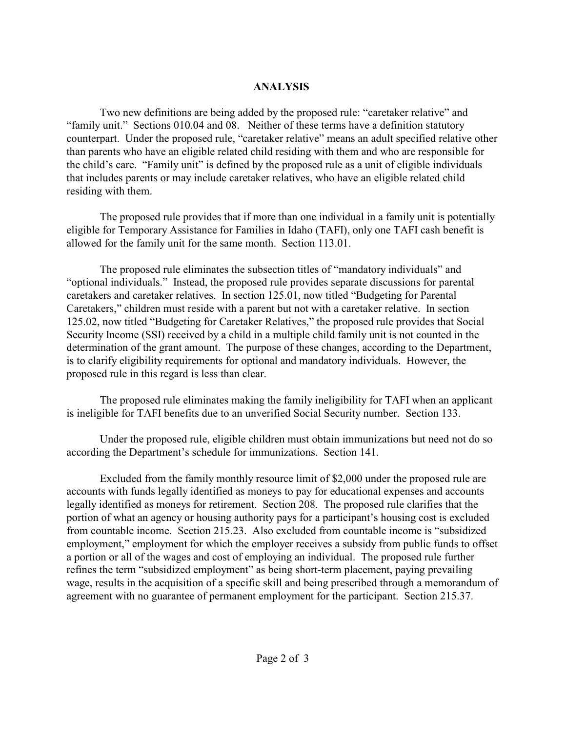## **ANALYSIS**

Two new definitions are being added by the proposed rule: "caretaker relative" and "family unit." Sections 010.04 and 08. Neither of these terms have a definition statutory counterpart. Under the proposed rule, "caretaker relative" means an adult specified relative other than parents who have an eligible related child residing with them and who are responsible for the child's care. "Family unit" is defined by the proposed rule as a unit of eligible individuals that includes parents or may include caretaker relatives, who have an eligible related child residing with them.

The proposed rule provides that if more than one individual in a family unit is potentially eligible for Temporary Assistance for Families in Idaho (TAFI), only one TAFI cash benefit is allowed for the family unit for the same month. Section 113.01.

The proposed rule eliminates the subsection titles of "mandatory individuals" and "optional individuals." Instead, the proposed rule provides separate discussions for parental caretakers and caretaker relatives. In section 125.01, now titled "Budgeting for Parental Caretakers," children must reside with a parent but not with a caretaker relative. In section 125.02, now titled "Budgeting for Caretaker Relatives," the proposed rule provides that Social Security Income (SSI) received by a child in a multiple child family unit is not counted in the determination of the grant amount. The purpose of these changes, according to the Department, is to clarify eligibility requirements for optional and mandatory individuals. However, the proposed rule in this regard is less than clear.

The proposed rule eliminates making the family ineligibility for TAFI when an applicant is ineligible for TAFI benefits due to an unverified Social Security number. Section 133.

Under the proposed rule, eligible children must obtain immunizations but need not do so according the Department's schedule for immunizations. Section 141.

Excluded from the family monthly resource limit of \$2,000 under the proposed rule are accounts with funds legally identified as moneys to pay for educational expenses and accounts legally identified as moneys for retirement. Section 208. The proposed rule clarifies that the portion of what an agency or housing authority pays for a participant's housing cost is excluded from countable income. Section 215.23. Also excluded from countable income is "subsidized employment," employment for which the employer receives a subsidy from public funds to offset a portion or all of the wages and cost of employing an individual. The proposed rule further refines the term "subsidized employment" as being short-term placement, paying prevailing wage, results in the acquisition of a specific skill and being prescribed through a memorandum of agreement with no guarantee of permanent employment for the participant. Section 215.37.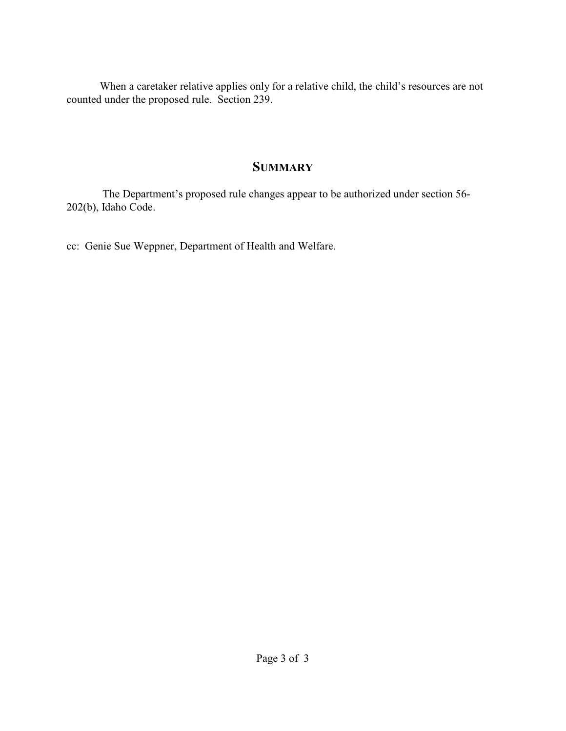When a caretaker relative applies only for a relative child, the child's resources are not counted under the proposed rule. Section 239.

# **SUMMARY**

 The Department's proposed rule changes appear to be authorized under section 56- 202(b), Idaho Code.

cc: Genie Sue Weppner, Department of Health and Welfare.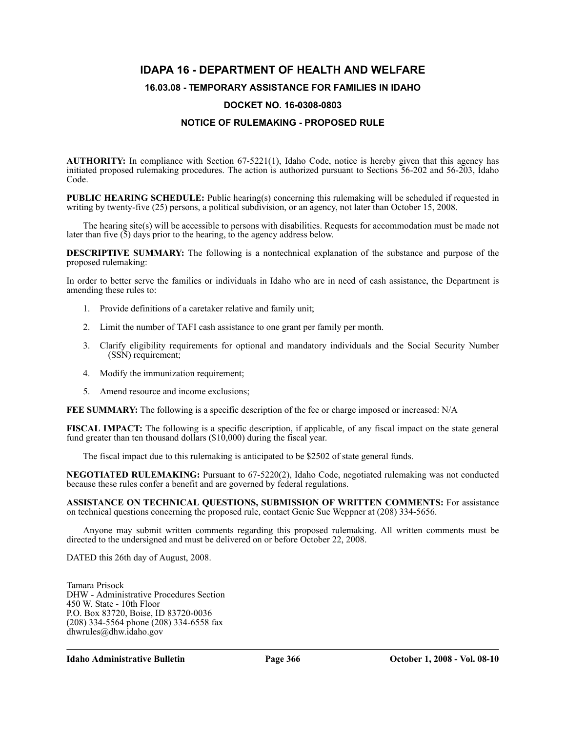## **IDAPA 16 - DEPARTMENT OF HEALTH AND WELFARE**

#### **16.03.08 - TEMPORARY ASSISTANCE FOR FAMILIES IN IDAHO**

#### **DOCKET NO. 16-0308-0803**

#### **NOTICE OF RULEMAKING - PROPOSED RULE**

**AUTHORITY:** In compliance with Section 67-5221(1), Idaho Code, notice is hereby given that this agency has initiated proposed rulemaking procedures. The action is authorized pursuant to Sections 56-202 and 56-203, Idaho Code.

**PUBLIC HEARING SCHEDULE:** Public hearing(s) concerning this rulemaking will be scheduled if requested in writing by twenty-five (25) persons, a political subdivision, or an agency, not later than October 15, 2008.

The hearing site(s) will be accessible to persons with disabilities. Requests for accommodation must be made not later than five  $(5)$  days prior to the hearing, to the agency address below.

**DESCRIPTIVE SUMMARY:** The following is a nontechnical explanation of the substance and purpose of the proposed rulemaking:

In order to better serve the families or individuals in Idaho who are in need of cash assistance, the Department is amending these rules to:

- 1. Provide definitions of a caretaker relative and family unit;
- 2. Limit the number of TAFI cash assistance to one grant per family per month.
- 3. Clarify eligibility requirements for optional and mandatory individuals and the Social Security Number (SSN) requirement;
- 4. Modify the immunization requirement;
- 5. Amend resource and income exclusions;

**FEE SUMMARY:** The following is a specific description of the fee or charge imposed or increased: N/A

**FISCAL IMPACT:** The following is a specific description, if applicable, of any fiscal impact on the state general fund greater than ten thousand dollars (\$10,000) during the fiscal year.

The fiscal impact due to this rulemaking is anticipated to be \$2502 of state general funds.

**NEGOTIATED RULEMAKING:** Pursuant to 67-5220(2), Idaho Code, negotiated rulemaking was not conducted because these rules confer a benefit and are governed by federal regulations.

**ASSISTANCE ON TECHNICAL QUESTIONS, SUBMISSION OF WRITTEN COMMENTS:** For assistance on technical questions concerning the proposed rule, contact Genie Sue Weppner at (208) 334-5656.

Anyone may submit written comments regarding this proposed rulemaking. All written comments must be directed to the undersigned and must be delivered on or before October 22, 2008.

DATED this 26th day of August, 2008.

Tamara Prisock DHW - Administrative Procedures Section 450 W. State - 10th Floor P.O. Box 83720, Boise, ID 83720-0036 (208) 334-5564 phone (208) 334-6558 fax <dhwrules@dhw.idaho.gov>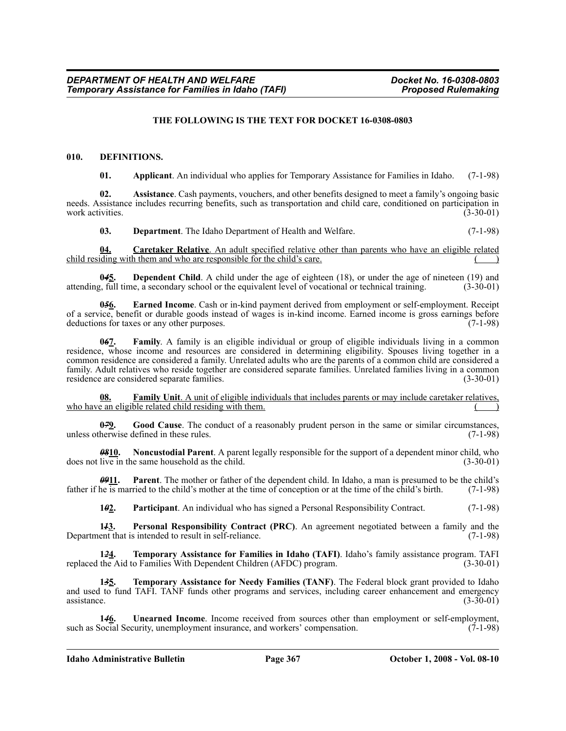#### **THE FOLLOWING IS THE TEXT FOR DOCKET 16-0308-0803**

#### **010. DEFINITIONS.**

**01. Applicant**. An individual who applies for Temporary Assistance for Families in Idaho. (7-1-98)

**02. Assistance**. Cash payments, vouchers, and other benefits designed to meet a family's ongoing basic needs. Assistance includes recurring benefits, such as transportation and child care, conditioned on participation in work activities. (3-30-01)

**03. Department**. The Idaho Department of Health and Welfare. (7-1-98)

**04. Caretaker Relative**. An adult specified relative other than parents who have an eligible related child residing with them and who are responsible for the child's care.

**045.** Dependent Child. A child under the age of eighteen (18), or under the age of nineteen (19) and the full time, a secondary school or the equivalent level of vocational or technical training. (3-30-01) attending, full time, a secondary school or the equivalent level of vocational or technical training.

**0***5***6. Earned Income**. Cash or in-kind payment derived from employment or self-employment. Receipt of a service, benefit or durable goods instead of wages is in-kind income. Earned income is gross earnings before deductions for taxes or any other purposes. (7-1-98)

**0***6***7. Family**. A family is an eligible individual or group of eligible individuals living in a common residence, whose income and resources are considered in determining eligibility. Spouses living together in a common residence are considered a family. Unrelated adults who are the parents of a common child are considered a family. Adult relatives who reside together are considered separate families. Unrelated families living in a common residence are considered separate families. (3-30-01) (3-30-01)

**08. Family Unit**. A unit of eligible individuals that includes parents or may include caretaker relatives, who have an eligible related child residing with them.

**0<sup>79</sup>9. Good Cause**. The conduct of a reasonably prudent person in the same or similar circumstances, unless otherwise defined in these rules. (7-1-98)

*08***10. Noncustodial Parent**. A parent legally responsible for the support of a dependent minor child, who does not live in the same household as the child. (3-30-01) (3-30-01)

*09***11. Parent**. The mother or father of the dependent child. In Idaho, a man is presumed to be the child's father if he is married to the child's mother at the time of conception or at the time of the child's birth. (7-1-98)

**1***0***<sub>2</sub>.** Participant. An individual who has signed a Personal Responsibility Contract. (7-1-98)

**1***1***3. Personal Responsibility Contract (PRC)**. An agreement negotiated between a family and the Department that is intended to result in self-reliance. (7-1-98)

**1<del>2</del>***1***. Temporary Assistance for Families in Idaho (TAFI)**. Idaho's family assistance program. TAFI the Aid to Families With Dependent Children (AFDC) program. replaced the Aid to Families With Dependent Children (AFDC) program.

**1***3***5. Temporary Assistance for Needy Families (TANF)**. The Federal block grant provided to Idaho and used to fund TAFI. TANF funds other programs and services, including career enhancement and emergency  $\alpha$  assistance. (3-30-01)

**146.** Unearned Income. Income received from sources other than employment or self-employment, such as Social Security, unemployment insurance, and workers' compensation. (7-1-98)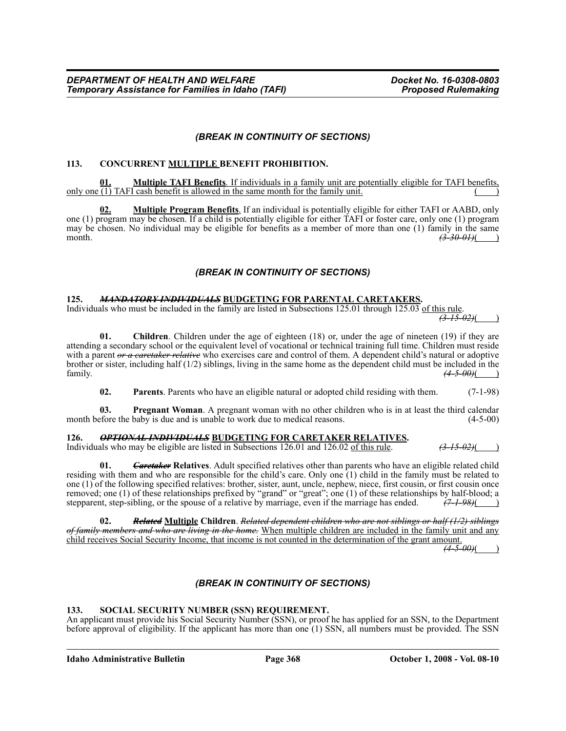#### *(BREAK IN CONTINUITY OF SECTIONS)*

#### **113. CONCURRENT MULTIPLE BENEFIT PROHIBITION.**

**01. Multiple TAFI Benefits**. If individuals in a family unit are potentially eligible for TAFI benefits, only one  $(1)$  TAFI cash benefit is allowed in the same month for the family unit.

**02. Multiple Program Benefits**. If an individual is potentially eligible for either TAFI or AABD, only one (1) program may be chosen. If a child is potentially eligible for either TAFI or foster care, only one (1) program may be chosen. No individual may be eligible for benefits as a member of more than one (1) family in the same month. *(3-30-01)*( )

### *(BREAK IN CONTINUITY OF SECTIONS)*

#### **125.** *MANDATORY INDIVIDUALS* **BUDGETING FOR PARENTAL CARETAKERS.**

Individuals who must be included in the family are listed in Subsections 125.01 through 125.03 of this rule. *(3-15-02)*( )

**01. Children**. Children under the age of eighteen (18) or, under the age of nineteen (19) if they are attending a secondary school or the equivalent level of vocational or technical training full time. Children must reside with a parent *or a caretaker relative* who exercises care and control of them. A dependent child's natural or adoptive brother or sister, including half (1/2) siblings, living in the same home as the dependent child must be included in the family. *(4-5-00)*( )

**02. Parents**. Parents who have an eligible natural or adopted child residing with them. (7-1-98)

**03. Pregnant Woman**. A pregnant woman with no other children who is in at least the third calendar efore the baby is due and is unable to work due to medical reasons. (4-5-00) month before the baby is due and is unable to work due to medical reasons.

#### **126.** *OPTIONAL INDIVIDUALS* **BUDGETING FOR CARETAKER RELATIVES.**

Individuals who may be eligible are listed in Subsections 126.01 and 126.02 of this rule. *(3-15-02)*( )

**Caretaker** Relatives. Adult specified relatives other than parents who have an eligible related child residing with them and who are responsible for the child's care. Only one (1) child in the family must be related to one (1) of the following specified relatives: brother, sister, aunt, uncle, nephew, niece, first cousin, or first cousin once removed; one (1) of these relationships prefixed by "grand" or "great"; one (1) of these relationships by half-blood; a stepparent, step-sibling, or the spouse of a relative by marriage, even if the marriage has ended.  $($ stepparent, step-sibling, or the spouse of a relative by marriage, even if the marriage has ended.

**02.** *Related* **Multiple Children**. *Related dependent children who are not siblings or half (1/2) siblings of family members and who are living in the home.* When multiple children are included in the family unit and any child receives Social Security Income, that income is not counted in the determination of the grant amount.

 $\sqrt{4-5-00}$ 

### *(BREAK IN CONTINUITY OF SECTIONS)*

#### **133. SOCIAL SECURITY NUMBER (SSN) REQUIREMENT.**

An applicant must provide his Social Security Number (SSN), or proof he has applied for an SSN, to the Department before approval of eligibility. If the applicant has more than one (1) SSN, all numbers must be provided. The SSN

**Idaho Administrative Bulletin Page 368 October 1, 2008 - Vol. 08-10**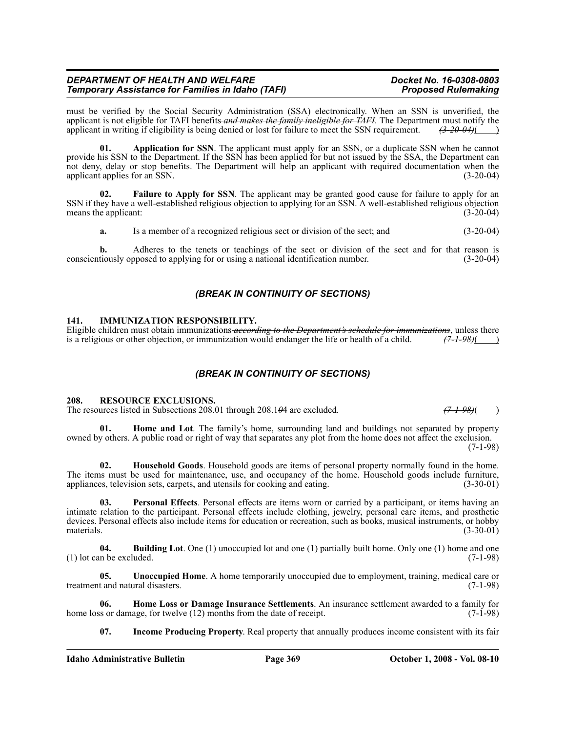# *(BREAK IN CONTINUITY OF SECTIONS)*

conscientiously opposed to applying for or using a national identification number.

#### **141. IMMUNIZATION RESPONSIBILITY.**

**Temporary Assistance for Families in Idaho (TAFI)** 

Eligible children must obtain immunizations *according to the Department's schedule for immunizations*, unless there is a religious or other objection, or immunization would endanger the life or health of a child. is a religious or other objection, or immunization would endanger the life or health of a child.

must be verified by the Social Security Administration (SSA) electronically. When an SSN is unverified, the applicant is not eligible for TAFI benefits *and makes the family ineligible for TAFI*. The Department must notify the applicant in writing if eligibility is being denied or lost for failure to meet the SSN requirement. *(3-20-04)*( )

provide his SSN to the Department. If the SSN has been applied for but not issued by the SSA, the Department can not deny, delay or stop benefits. The Department will help an applicant with required documentation when the applicant applies for an SSN. (3-20-04)

SSN if they have a well-established religious objection to applying for an SSN. A well-established religious objection means the applicant: (3-20-04)

**01. Application for SSN**. The applicant must apply for an SSN, or a duplicate SSN when he cannot

#### *(BREAK IN CONTINUITY OF SECTIONS)*

#### **208. RESOURCE EXCLUSIONS.**

The resources listed in Subsections 208.01 through 208.1<del>0</del>4 are excluded.  $(7-1-98)$ ( )

**01. Home and Lot**. The family's home, surrounding land and buildings not separated by property owned by others. A public road or right of way that separates any plot from the home does not affect the exclusion. (7-1-98)

**02. Household Goods**. Household goods are items of personal property normally found in the home. The items must be used for maintenance, use, and occupancy of the home. Household goods include furniture, appliances, television sets, carpets, and utensils for cooking and eating. (3-30-01)

**Personal Effects**. Personal effects are items worn or carried by a participant, or items having an intimate relation to the participant. Personal effects include clothing, jewelry, personal care items, and prosthetic devices. Personal effects also include items for education or recreation, such as books, musical instruments, or hobby materials.  $(3-30-01)$ 

**04. Building Lot**. One (1) unoccupied lot and one (1) partially built home. Only one (1) home and one (1) lot can be excluded.  $(7-1-98)$ 

**05. Unoccupied Home**. A home temporarily unoccupied due to employment, training, medical care or t and natural disasters. (7-1-98) treatment and natural disasters.

**06. Home Loss or Damage Insurance Settlements**. An insurance settlement awarded to a family for home loss or damage, for twelve (12) months from the date of receipt. (7-1-98)

**07. Income Producing Property**. Real property that annually produces income consistent with its fair

*DEPARTMENT OF HEALTH AND WELFARE Department of the Docket No. 16-0308-0803*<br>Temporary Assistance for Families in Idaho (TAFI) *Proposed Rulemaking* 

**a.** Is a member of a recognized religious sect or division of the sect; and  $(3-20-04)$ 

# **b.** Adheres to the tenets or teachings of the sect or division of the sect and for that reason is tiously opposed to applying for or using a national identification number. (3-20-04)

**Failure to Apply for SSN**. The applicant may be granted good cause for failure to apply for an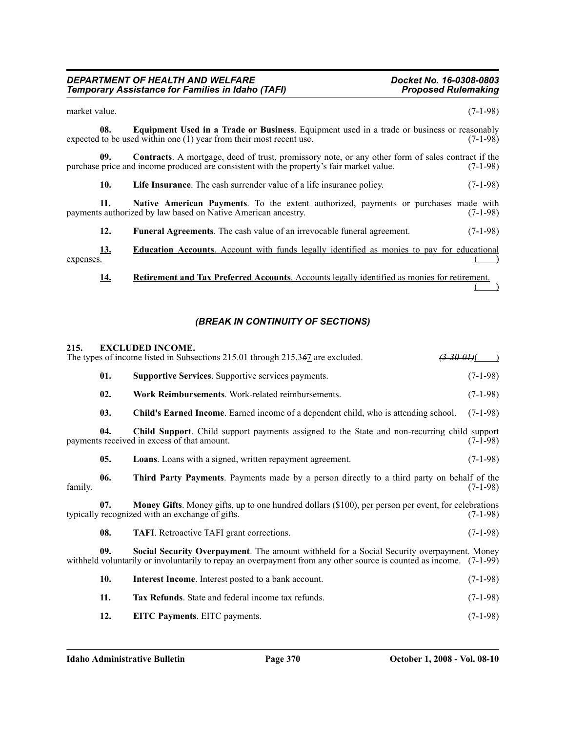$\qquad \qquad$ 

| market value.           |                                                                                                                                                                                                      | $(7-1-98)$ |
|-------------------------|------------------------------------------------------------------------------------------------------------------------------------------------------------------------------------------------------|------------|
| 08.                     | Equipment Used in a Trade or Business. Equipment used in a trade or business or reasonably<br>expected to be used within one (1) year from their most recent use.                                    | $(7-1-98)$ |
| 09.                     | <b>Contracts.</b> A mortgage, deed of trust, promissory note, or any other form of sales contract if the<br>purchase price and income produced are consistent with the property's fair market value. | $(7-1-98)$ |
| 10.                     | <b>Life Insurance.</b> The cash surrender value of a life insurance policy.                                                                                                                          | $(7-1-98)$ |
| 11.                     | <b>Native American Payments.</b> To the extent authorized, payments or purchases made with<br>payments authorized by law based on Native American ancestry.                                          | $(7-1-98)$ |
| 12.                     | <b>Funeral Agreements</b> . The cash value of an irrevocable funeral agreement.                                                                                                                      | $(7-1-98)$ |
| <u>13.</u><br>expenses. | <b>Education Accounts.</b> Account with funds legally identified as monies to pay for educational                                                                                                    |            |
| 14.                     | <b>Retirement and Tax Preferred Accounts.</b> Accounts legally identified as monies for retirement.                                                                                                  |            |

*(BREAK IN CONTINUITY OF SECTIONS)*

#### **215. EXCLUDED INCOME.**

|         |     | The types of income listed in Subsections 215.01 through 215.367 are excluded.<br><del>(3-30-01)</del> (                                                                                                        |            |
|---------|-----|-----------------------------------------------------------------------------------------------------------------------------------------------------------------------------------------------------------------|------------|
|         | 01. | <b>Supportive Services.</b> Supportive services payments.                                                                                                                                                       | $(7-1-98)$ |
|         | 02. | Work Reimbursements. Work-related reimbursements.                                                                                                                                                               | $(7-1-98)$ |
|         | 03. | <b>Child's Earned Income.</b> Earned income of a dependent child, who is attending school.                                                                                                                      | $(7-1-98)$ |
|         | 04. | Child Support. Child support payments assigned to the State and non-recurring child support<br>payments received in excess of that amount.                                                                      | $(7-1-98)$ |
|         | 05. | Loans. Loans with a signed, written repayment agreement.                                                                                                                                                        | $(7-1-98)$ |
| family. | 06. | Third Party Payments. Payments made by a person directly to a third party on behalf of the                                                                                                                      | $(7-1-98)$ |
|         | 07. | Money Gifts. Money gifts, up to one hundred dollars (\$100), per person per event, for celebrations<br>typically recognized with an exchange of gifts.                                                          | $(7-1-98)$ |
|         | 08. | <b>TAFI.</b> Retroactive TAFI grant corrections.                                                                                                                                                                | $(7-1-98)$ |
|         | 09. | Social Security Overpayment. The amount withheld for a Social Security overpayment. Money<br>withheld voluntarily or involuntarily to repay an overpayment from any other source is counted as income. (7-1-99) |            |
|         | 10. | <b>Interest Income.</b> Interest posted to a bank account.                                                                                                                                                      | $(7-1-98)$ |
|         | 11. | Tax Refunds. State and federal income tax refunds.                                                                                                                                                              | $(7-1-98)$ |
|         | 12. | <b>EITC Payments.</b> EITC payments.                                                                                                                                                                            | $(7-1-98)$ |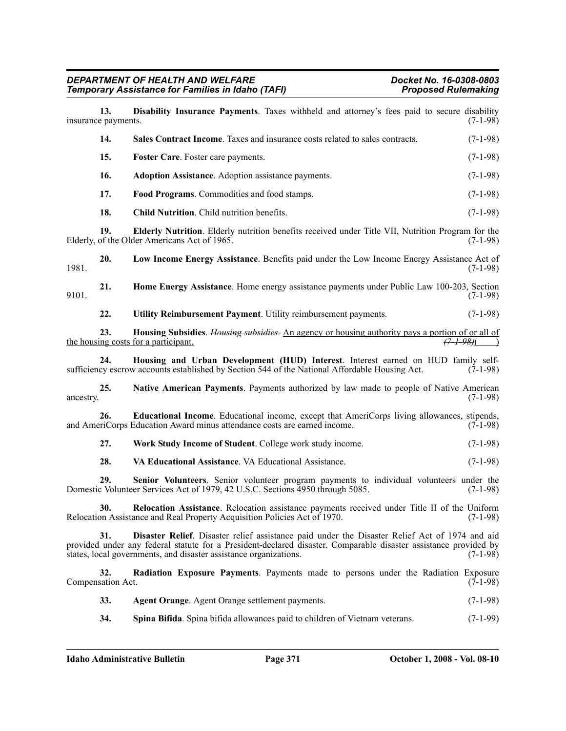| 13.<br>insurance payments. | Disability Insurance Payments. Taxes withheld and attorney's fees paid to secure disability                                                                                                                                                                                             | $(7-1-98)$ |
|----------------------------|-----------------------------------------------------------------------------------------------------------------------------------------------------------------------------------------------------------------------------------------------------------------------------------------|------------|
| 14.                        | Sales Contract Income. Taxes and insurance costs related to sales contracts.                                                                                                                                                                                                            | $(7-1-98)$ |
| 15.                        | Foster Care. Foster care payments.                                                                                                                                                                                                                                                      | $(7-1-98)$ |
| 16.                        | <b>Adoption Assistance</b> . Adoption assistance payments.                                                                                                                                                                                                                              | $(7-1-98)$ |
| 17.                        | Food Programs. Commodities and food stamps.                                                                                                                                                                                                                                             | $(7-1-98)$ |
| 18.                        | Child Nutrition. Child nutrition benefits.                                                                                                                                                                                                                                              | $(7-1-98)$ |
| 19.                        | Elderly Nutrition. Elderly nutrition benefits received under Title VII, Nutrition Program for the<br>Elderly, of the Older Americans Act of 1965.                                                                                                                                       | $(7-1-98)$ |
| 20.<br>1981.               | Low Income Energy Assistance. Benefits paid under the Low Income Energy Assistance Act of                                                                                                                                                                                               | $(7-1-98)$ |
| 21.<br>9101.               | Home Energy Assistance. Home energy assistance payments under Public Law 100-203, Section                                                                                                                                                                                               | $(7-1-98)$ |
| 22.                        | Utility Reimbursement Payment. Utility reimbursement payments.                                                                                                                                                                                                                          | $(7-1-98)$ |
| 23.                        | Housing Subsidies. Housing subsidies. An agency or housing authority pays a portion of or all of<br>$(7 + 98)$<br>the housing costs for a participant.                                                                                                                                  |            |
| 24.                        | Housing and Urban Development (HUD) Interest. Interest earned on HUD family self-<br>sufficiency escrow accounts established by Section 544 of the National Affordable Housing Act.                                                                                                     | $(7-1-98)$ |
| 25.<br>ancestry.           | Native American Payments. Payments authorized by law made to people of Native American                                                                                                                                                                                                  | $(7-1-98)$ |
| 26.                        | <b>Educational Income.</b> Educational income, except that AmeriCorps living allowances, stipends,<br>and AmeriCorps Education Award minus attendance costs are earned income.                                                                                                          | $(7-1-98)$ |
| 27.                        | Work Study Income of Student. College work study income.                                                                                                                                                                                                                                | $(7-1-98)$ |
| 28.                        | VA Educational Assistance. VA Educational Assistance.                                                                                                                                                                                                                                   | $(7-1-98)$ |
| 29.                        | Senior Volunteers. Senior volunteer program payments to individual volunteers under the<br>Domestic Volunteer Services Act of 1979, 42 U.S.C. Sections 4950 through 5085.                                                                                                               | $(7-1-98)$ |
| 30.                        | Relocation Assistance. Relocation assistance payments received under Title II of the Uniform<br>Relocation Assistance and Real Property Acquisition Policies Act of 1970.                                                                                                               | $(7-1-98)$ |
| 31.                        | Disaster Relief. Disaster relief assistance paid under the Disaster Relief Act of 1974 and aid<br>provided under any federal statute for a President-declared disaster. Comparable disaster assistance provided by<br>states, local governments, and disaster assistance organizations. | $(7-1-98)$ |
| 32.<br>Compensation Act.   | Radiation Exposure Payments. Payments made to persons under the Radiation Exposure                                                                                                                                                                                                      | $(7-1-98)$ |
| 33.                        | Agent Orange. Agent Orange settlement payments.                                                                                                                                                                                                                                         | $(7-1-98)$ |
| 34.                        | Spina Bifida. Spina bifida allowances paid to children of Vietnam veterans.                                                                                                                                                                                                             | $(7-1-99)$ |